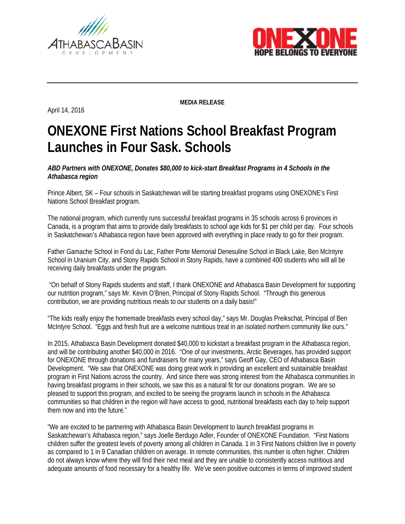



April 14, 2016

**MEDIA RELEASE**

## **ONEXONE First Nations School Breakfast Program Launches in Four Sask. Schools**

*ABD Partners with ONEXONE, Donates \$80,000 to kick-start Breakfast Programs in 4 Schools in the Athabasca region* 

Prince Albert, SK – Four schools in Saskatchewan will be starting breakfast programs using ONEXONE's First Nations School Breakfast program.

The national program, which currently runs successful breakfast programs in 35 schools across 6 provinces in Canada, is a program that aims to provide daily breakfasts to school age kids for \$1 per child per day. Four schools in Saskatchewan's Athabasca region have been approved with everything in place ready to go for their program.

Father Gamache School in Fond du Lac, Father Porte Memorial Denesuline School in Black Lake, Ben McIntyre School in Uranium City, and Stony Rapids School in Stony Rapids, have a combined 400 students who will all be receiving daily breakfasts under the program.

"On behalf of Stony Rapids students and staff, I thank ONEXONE and Athabasca Basin Development for supporting our nutrition program," says Mr. Kevin O'Brien, Principal of Stony Rapids School. "Through this generous contribution, we are providing nutritious meals to our students on a daily basis!"

"The kids really enjoy the homemade breakfasts every school day," says Mr. Douglas Preikschat, Principal of Ben McIntyre School. "Eggs and fresh fruit are a welcome nutritious treat in an isolated northern community like ours."

In 2015, Athabasca Basin Development donated \$40,000 to kickstart a breakfast program in the Athabasca region, and will be contributing another \$40,000 in 2016. "One of our investments, Arctic Beverages, has provided support for ONEXONE through donations and fundraisers for many years," says Geoff Gay, CEO of Athabasca Basin Development. "We saw that ONEXONE was doing great work in providing an excellent and sustainable breakfast program in First Nations across the country. And since there was strong interest from the Athabasca communities in having breakfast programs in their schools, we saw this as a natural fit for our donations program. We are so pleased to support this program, and excited to be seeing the programs launch in schools in the Athabasca communities so that children in the region will have access to good, nutritional breakfasts each day to help support them now and into the future."

"We are excited to be partnering with Athabasca Basin Development to launch breakfast programs in Saskatchewan's Athabasca region," says Joelle Berdugo Adler, Founder of ONEXONE Foundation. "First Nations children suffer the greatest levels of poverty among all children in Canada. 1 in 3 First Nations children live in poverty as compared to 1 in 9 Canadian children on average. In remote communities, this number is often higher. Children do not always know where they will find their next meal and they are unable to consistently access nutritious and adequate amounts of food necessary for a healthy life. We've seen positive outcomes in terms of improved student